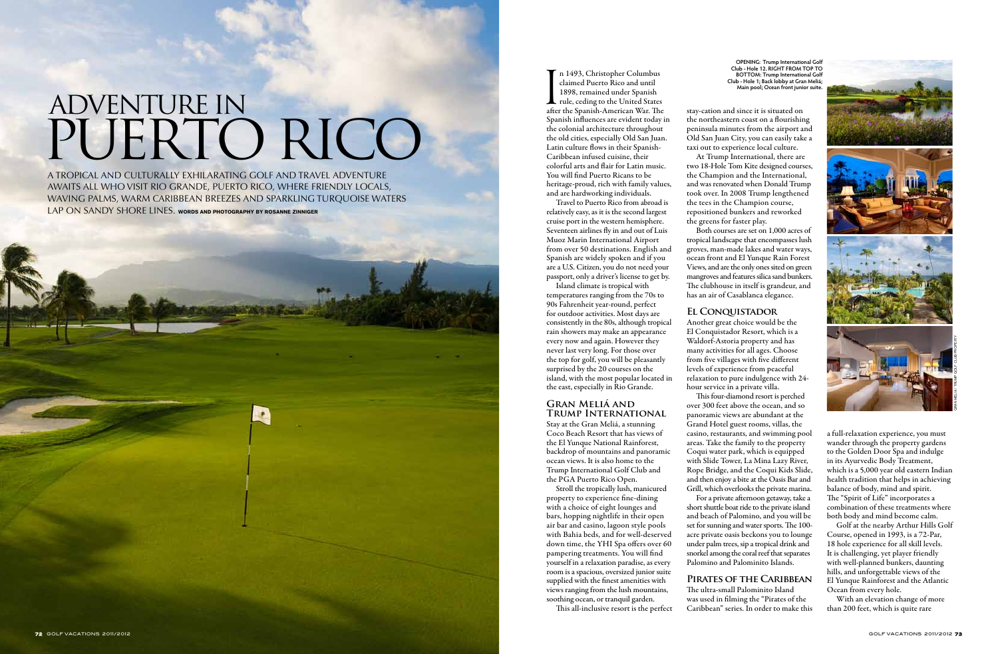In 1493, Christopher Columbus<br>claimed Puerto Rico and until<br>1898, remained under Spanish<br>rule, ceding to the United States<br>after the Spanish-American War. The n 1493, Christopher Columbus claimed Puerto Rico and until 1898, remained under Spanish Tule, ceding to the United States Spanish influences are evident today in the colonial architecture throughout the old cities, especially Old San Juan. Latin culture flows in their Spanish-Caribbean infused cuisine, their colorful arts and flair for Latin music. You will find Puerto Ricans to be heritage-proud, rich with family values,

and are hardworking individuals. Travel to Puerto Rico from abroad is relatively easy, as it is the second largest cruise port in the western hemisphere. Seventeen airlines fly in and out of Luis Muoz Marin International Airport from over 50 destinations. English and Spanish are widely spoken and if you are a U.S. Citizen, you do not need your passport, only a driver's license to get by. Island climate is tropical with

A tropical and culturally exhilarating golf and travel adventure awaits all who visit Rio Grande, Puerto Rico, where friendly locals, waving palms, warm Caribbean breezes and sparkling turquoise waters LAP ON SANDY SHORE LINES. WORDS AND PHOTOGRAPHY BY ROSANNE ZINNIGER

> temperatures ranging from the 70s to 90s Fahrenheit year-round, perfect for outdoor activities. Most days are consistently in the 80s, although tropical rain showers may make an appearance every now and again. However they never last very long. For those over the top for golf, you will be pleasantly surprised by the 20 courses on the island, with the most popular located in the east, especially in Rio Grande.

# Adventure in PUERTO RICO

## **Gran Meliá and Trump International**

Stay at the Gran Meliá, a stunning Coco Beach Resort that has views of the El Yunque National Rainforest, backdrop of mountains and panoramic ocean views. It is also home to the Trump International Golf Club and the PGA Puerto Rico Open.

Stroll the tropically lush, manicured property to experience fine-dining with a choice of eight lounges and bars, hopping nightlife in their open air bar and casino, lagoon style pools with Bahia beds, and for well-deserved down time, the YHI Spa offers over 60 pampering treatments. You will find yourself in a relaxation paradise, as every room is a spacious, oversized junior suite supplied with the finest amenities with views ranging from the lush mountains, soothing ocean, or tranquil garden.

This all-inclusive resort is the perfect

At Trump International, there are

stay-cation and since it is situated on the northeastern coast on a flourishing peninsula minutes from the airport and Old San Juan City, you can easily take a taxi out to experience local culture. two 18-Hole Tom Kite designed courses, the Champion and the International, and was renovated when Donald Trump took over. In 2008 Trump lengthened the tees in the Champion course, repositioned bunkers and reworked the greens for faster play.

Both courses are set on 1,000 acres of tropical landscape that encompasses lush groves, man-made lakes and water ways, ocean front and El Yunque Rain Forest Views, and are the only ones sited on green mangroves and features silica sand bunkers. The clubhouse in itself is grandeur, and has an air of Casablanca elegance.

## **El Conquistador**

Another great choice would be the El Conquistador Resort, which is a Waldorf-Astoria property and has many activities for all ages. Choose from five villages with five different levels of experience from peaceful relaxation to pure indulgence with 24 hour service in a private villa.

This four-diamond resort is perched over 300 feet above the ocean, and so panoramic views are abundant at the Grand Hotel guest rooms, villas, the casino, restaurants, and swimming pool areas. Take the family to the property Coqui water park, which is equipped with Slide Tower, La Mina Lazy River, Rope Bridge, and the Coqui Kids Slide, and then enjoy a bite at the Oasis Bar and Grill, which overlooks the private marina. For a private afternoon getaway, take a short shuttle boat ride to the private island and beach of Palomino, and you will be set for sunning and water sports. The 100 acre private oasis beckons you to lounge under palm trees, sip a tropical drink and snorkel among the coral reef that separates Palomino and Palominito Islands.

## **Pirates of the Caribbean**

The ultra-small Palominito Island was used in filming the "Pirates of the Caribbean" series. In order to make this a full-relaxation experience, you must wander through the property gardens to the Golden Door Spa and indulge in its Ayurvedic Body Treatment, which is a 5,000 year old eastern Indian health tradition that helps in achieving balance of body, mind and spirit. The "Spirit of Life" incorporates a combination of these treatments where both body and mind become calm.

Golf at the nearby Arthur Hills Golf Course, opened in 1993, is a 72-Par, 18 hole experience for all skill levels. It is challenging, yet player friendly with well-planned bunkers, daunting hills, and unforgettable views of the El Yunque Rainforest and the Atlantic Ocean from every hole.

With an elevation change of more than 200 feet, which is quite rare

**OPENING: Trump International Golf Club - Hole 12. RIGHT FROM TOP TO BOTTOM: Trump International Golf Club - Hole 1; Back lobby at Gran Meliá; Main pool; Ocean front junior suite.**

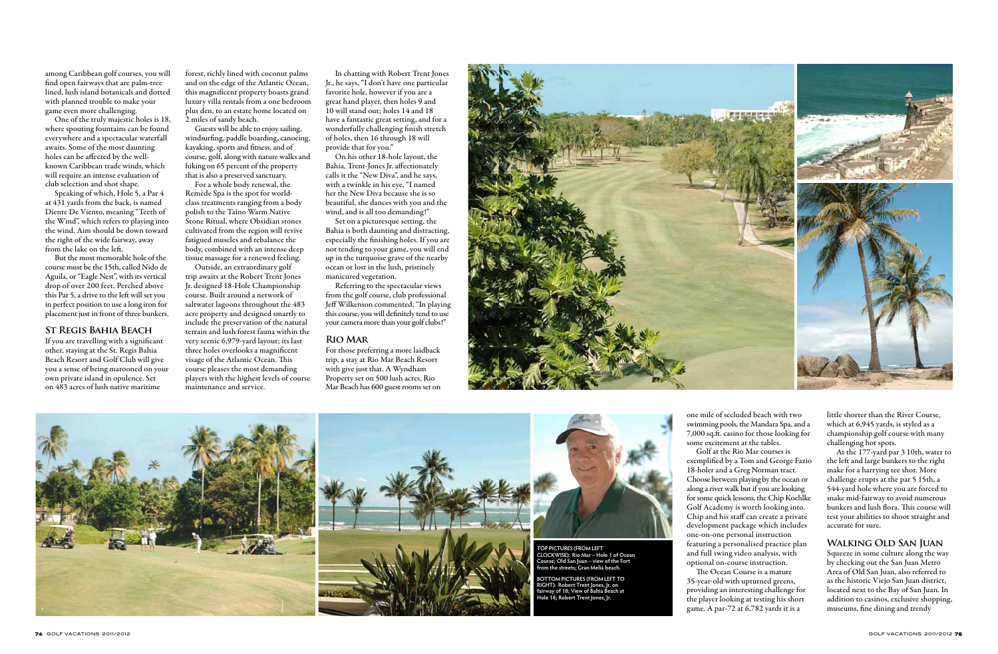among Caribbean golf courses, you will find open fairways that are palm-tree lined, lush island botanicals and dotted with planned trouble to make your game even more challenging.

One of the truly majestic holes is 18, where spouting fountains can be found everywhere and a spectacular waterfall awaits. Some of the most daunting holes can be affected by the wellknown Caribbean trade winds, which will require an intense evaluation of club selection and shot shape.

Speaking of which, Hole 5, a Par 4 at 431 yards from the back, is named Diente De Viento, meaning "Teeth of the Wind", which refers to playing into the wind. Aim should be down toward the right of the wide fairway, away from the lake on the left.

Guests will be able to enjoy sailing, windsurfing, paddle boarding, canoeing, kayaking, sports and fitness, and of course, golf, along with nature walks and hiking on 65 percent of the property that is also a preserved sanctuary.

But the most memorable hole of the course must be the 15th, called Nido de Aguila, or "Eagle Nest", with its vertical drop of over 200 feet. Perched above this Par 5, a drive to the left will set you in perfect position to use a long iron for placement just in front of three bunkers.

## **St Regis Bahia Beach**

If you are travelling with a significant other, staying at the St. Regis Bahia Beach Resort and Golf Club will give you a sense of being marooned on your own private island in opulence. Set on 483 acres of lush native maritime

forest, richly lined with coconut palms and on the edge of the Atlantic Ocean, this magnificent property boasts grand luxury villa rentals from a one bedroom plus den, to an estate home located on 2 miles of sandy beach.

For a whole body renewal, the Remède Spa is the spot for worldclass treatments ranging from a body polish to the Taino Warm Native Stone Ritual, where Obsidian stones cultivated from the region will revive fatigued muscles and rebalance the body, combined with an intense deep tissue massage for a renewed feeling.

Outside, an extraordinary golf trip awaits at the Robert Trent Jones Jr. designed 18-Hole Championship course. Built around a network of saltwater lagoons throughout the 483 acre property and designed smartly to include the preservation of the natural terrain and lush forest fauna within the very scenic 6,979-yard layout; its last three holes overlooks a magnificent visage of the Atlantic Ocean. This course pleases the most demanding players with the highest levels of course maintenance and service.

> one mile of secluded beach with two swimming pools, the Mandara Spa, and a 7,000 sq.ft. casino for those looking for some excitement at the tables.

Golf at the Rio Mar courses is exemplified by a Tom and George Fazio 18-holer and a Greg Norman tract. Choose between playing by the ocean or along a river walk but if you are looking for some quick lessons, the Chip Koehlke Golf Academy is worth looking into. Chip and his staff can create a private development package which includes one-on-one personal instruction featuring a personalised practice plan and full swing video analysis, with optional on-course instruction. The Ocean Course is a mature 35-year-old with upturned greens, providing an interesting challenge for the player looking at testing his short game. A par-72 at 6,782 yards it is a

little shorter than the River Course, which at 6,945 yards, is styled as a championship golf course with many challenging hot spots.

At the 177-yard par 3 10th, water to the left and large bunkers to the right make for a harrying tee shot. More challenge erupts at the par 5 15th, a 544-yard hole where you are forced to snake mid-fairway to avoid numerous bunkers and lush flora. This course will test your abilities to shoot straight and accurate for sure.

## **Walking Old San Juan**

Squeeze in some culture along the way by checking out the San Juan Metro Area of Old San Juan, also referred to as the historic Viejo San Juan district, located next to the Bay of San Juan. In addition to casinos, exclusive shopping, museums, fine dining and trendy

In chatting with Robert Trent Jones Jr., he says, "I don't have one particular favorite hole, however if you are a great hand player, then holes 9 and 10 will stand out; holes 14 and 18 have a fantastic great setting, and for a wonderfully challenging finish stretch of holes, then 16 through 18 will provide that for you."

On his other 18-hole layout, the Bahia, Trent-Jones Jr. affectionately calls it the "New Diva", and he says, with a twinkle in his eye, "I named her the New Diva because she is so beautiful, she dances with you and the wind, and is all too demanding!"

Set on a picturesque setting, the Bahia is both daunting and distracting, especially the finishing holes. If you are not tending to your game, you will end up in the turquoise grave of the nearby ocean or lost in the lush, pristinely manicured vegetation.

Referring to the spectacular views from the golf course, club professional Jeff Wilkenson commented, "In playing this course, you will definitely tend to use your camera more than your golf clubs!"

## **Rio Mar**

For those preferring a more laidback trip, a stay at Rio Mar Beach Resort with give just that. A Wyndham Property set on 500 lush acres, Rio Mar Beach has 600 guest rooms set on